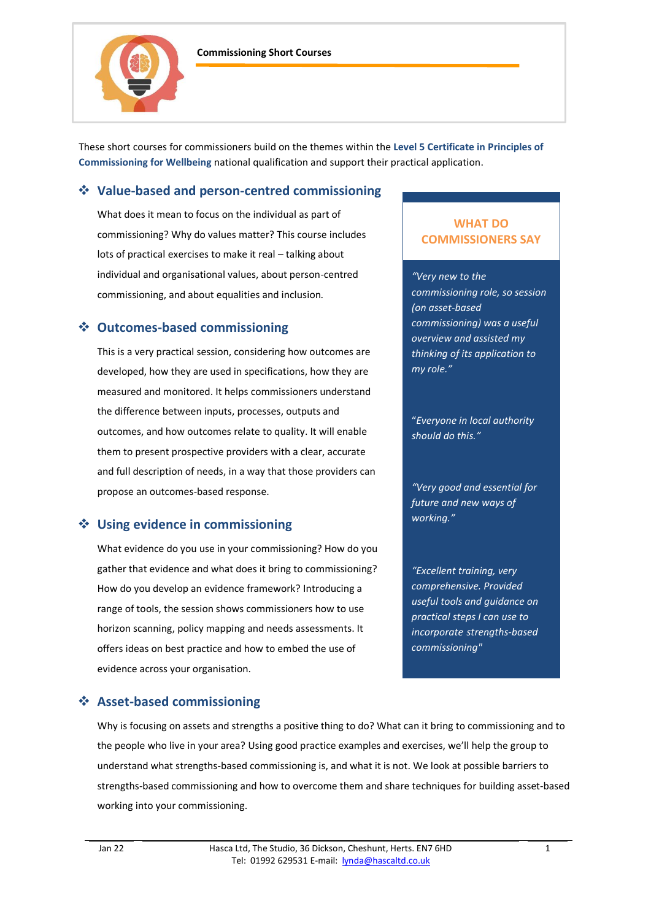



These short courses for commissioners build on the themes within the **Level 5 Certificate in Principles of Commissioning for Wellbeing** national qualification and support their practical application.

# ❖ **Value-based and person-centred commissioning**

What does it mean to focus on the individual as part of commissioning? Why do values matter? This course includes lots of practical exercises to make it real – talking about individual and organisational values, about person-centred commissioning, and about equalities and inclusion.

## ❖ **Outcomes-based commissioning**

This is a very practical session, considering how outcomes are developed, how they are used in specifications, how they are measured and monitored. It helps commissioners understand the difference between inputs, processes, outputs and outcomes, and how outcomes relate to quality. It will enable them to present prospective providers with a clear, accurate and full description of needs, in a way that those providers can propose an outcomes-based response.

# ❖ **Using evidence in commissioning**

What evidence do you use in your commissioning? How do you gather that evidence and what does it bring to commissioning? How do you develop an evidence framework? Introducing a range of tools, the session shows commissioners how to use horizon scanning, policy mapping and needs assessments. It offers ideas on best practice and how to embed the use of evidence across your organisation.

### **WHAT DO COMMISSIONERS SAY**

*"Very new to the commissioning role, so session (on asset-based commissioning) was a useful overview and assisted my thinking of its application to my role."*

"*Everyone in local authority should do this."*

*"Very good and essential for future and new ways of working."*

*"Excellent training, very comprehensive. Provided useful tools and guidance on practical steps I can use to incorporate strengths-based commissioning"*

### ❖ **Asset-based commissioning**

Why is focusing on assets and strengths a positive thing to do? What can it bring to commissioning and to the people who live in your area? Using good practice examples and exercises, we'll help the group to understand what strengths-based commissioning is, and what it is not. We look at possible barriers to strengths-based commissioning and how to overcome them and share techniques for building asset-based working into your commissioning.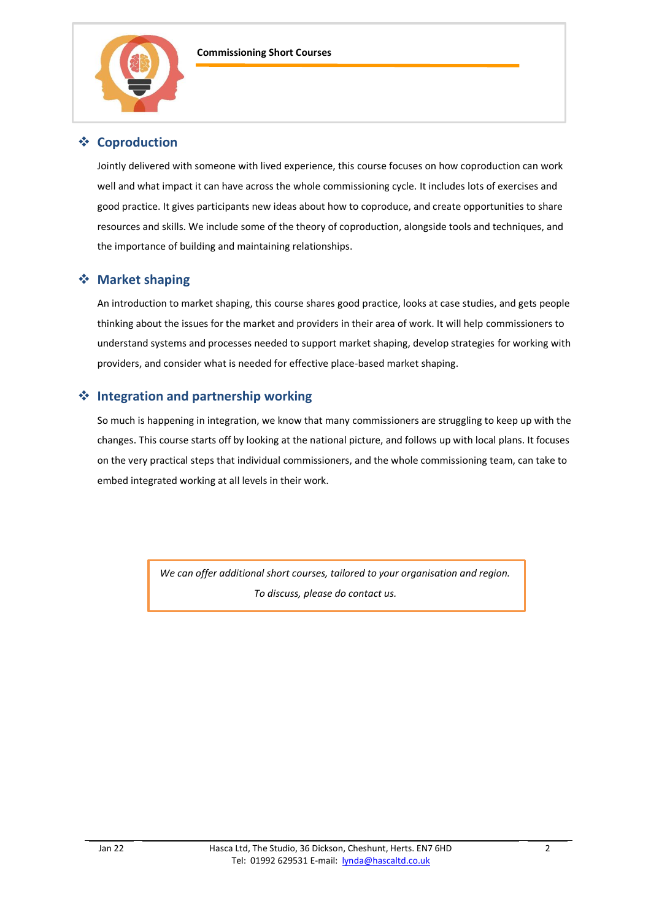

# ❖ **Coproduction**

Jointly delivered with someone with lived experience, this course focuses on how coproduction can work well and what impact it can have across the whole commissioning cycle. It includes lots of exercises and good practice. It gives participants new ideas about how to coproduce, and create opportunities to share resources and skills. We include some of the theory of coproduction, alongside tools and techniques, and the importance of building and maintaining relationships.

### ❖ **Market shaping**

An introduction to market shaping, this course shares good practice, looks at case studies, and gets people thinking about the issues for the market and providers in their area of work. It will help commissioners to understand systems and processes needed to support market shaping, develop strategies for working with providers, and consider what is needed for effective place-based market shaping.

## ❖ **Integration and partnership working**

So much is happening in integration, we know that many commissioners are struggling to keep up with the changes. This course starts off by looking at the national picture, and follows up with local plans. It focuses on the very practical steps that individual commissioners, and the whole commissioning team, can take to embed integrated working at all levels in their work.

> *We can offer additional short courses, tailored to your organisation and region. To discuss, please do contact us.*